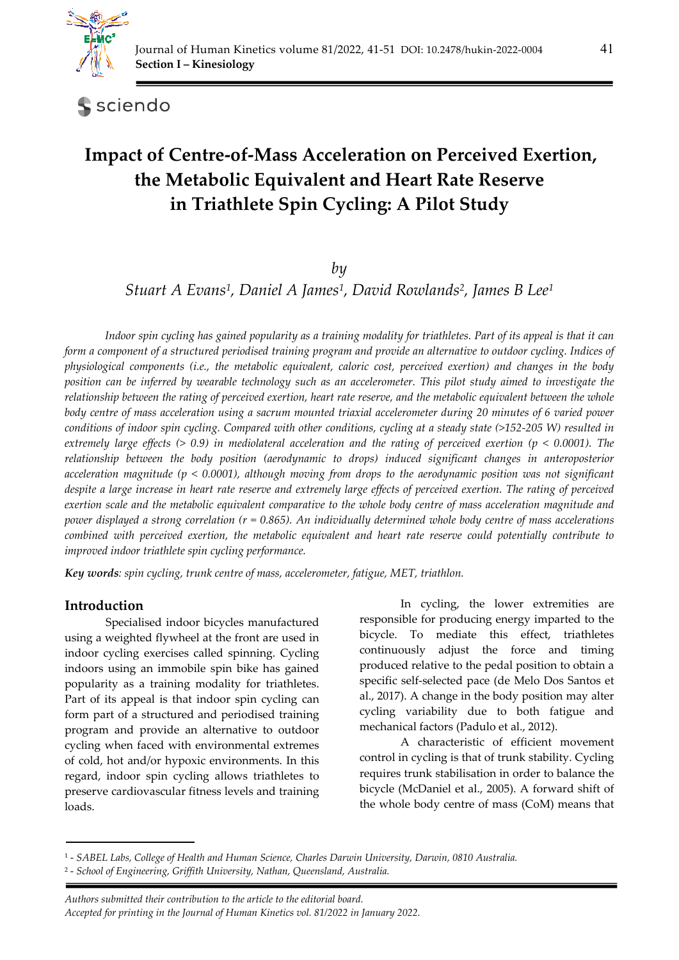

sciendo

# **Impact of Centre-of-Mass Acceleration on Perceived Exertion, the Metabolic Equivalent and Heart Rate Reserve in Triathlete Spin Cycling: A Pilot Study**

# *by*

*Stuart A Evans1, Daniel A James1, David Rowlands2, James B Lee1*

*Indoor spin cycling has gained popularity as a training modality for triathletes. Part of its appeal is that it can form a component of a structured periodised training program and provide an alternative to outdoor cycling. Indices of physiological components (i.e., the metabolic equivalent, caloric cost, perceived exertion) and changes in the body position can be inferred by wearable technology such as an accelerometer. This pilot study aimed to investigate the relationship between the rating of perceived exertion, heart rate reserve, and the metabolic equivalent between the whole body centre of mass acceleration using a sacrum mounted triaxial accelerometer during 20 minutes of 6 varied power conditions of indoor spin cycling. Compared with other conditions, cycling at a steady state (>152-205 W) resulted in extremely large effects (> 0.9) in mediolateral acceleration and the rating of perceived exertion (p < 0.0001). The relationship between the body position (aerodynamic to drops) induced significant changes in anteroposterior acceleration magnitude (p < 0.0001), although moving from drops to the aerodynamic position was not significant despite a large increase in heart rate reserve and extremely large effects of perceived exertion. The rating of perceived exertion scale and the metabolic equivalent comparative to the whole body centre of mass acceleration magnitude and power displayed a strong correlation (r = 0.865). An individually determined whole body centre of mass accelerations combined with perceived exertion, the metabolic equivalent and heart rate reserve could potentially contribute to improved indoor triathlete spin cycling performance.* 

*Key words: spin cycling, trunk centre of mass, accelerometer, fatigue, MET, triathlon.* 

# **Introduction**

Specialised indoor bicycles manufactured using a weighted flywheel at the front are used in indoor cycling exercises called spinning. Cycling indoors using an immobile spin bike has gained popularity as a training modality for triathletes. Part of its appeal is that indoor spin cycling can form part of a structured and periodised training program and provide an alternative to outdoor cycling when faced with environmental extremes of cold, hot and/or hypoxic environments. In this regard, indoor spin cycling allows triathletes to preserve cardiovascular fitness levels and training loads.

In cycling, the lower extremities are responsible for producing energy imparted to the bicycle. To mediate this effect, triathletes continuously adjust the force and timing produced relative to the pedal position to obtain a specific self-selected pace (de Melo Dos Santos et al., 2017). A change in the body position may alter cycling variability due to both fatigue and mechanical factors (Padulo et al., 2012).

A characteristic of efficient movement control in cycling is that of trunk stability. Cycling requires trunk stabilisation in order to balance the bicycle (McDaniel et al., 2005). A forward shift of the whole body centre of mass (CoM) means that

<sup>1 -</sup> *SABEL Labs, College of Health and Human Science, Charles Darwin University, Darwin, 0810 Australia.* 

<sup>2 -</sup> *School of Engineering, Griffith University, Nathan, Queensland, Australia.*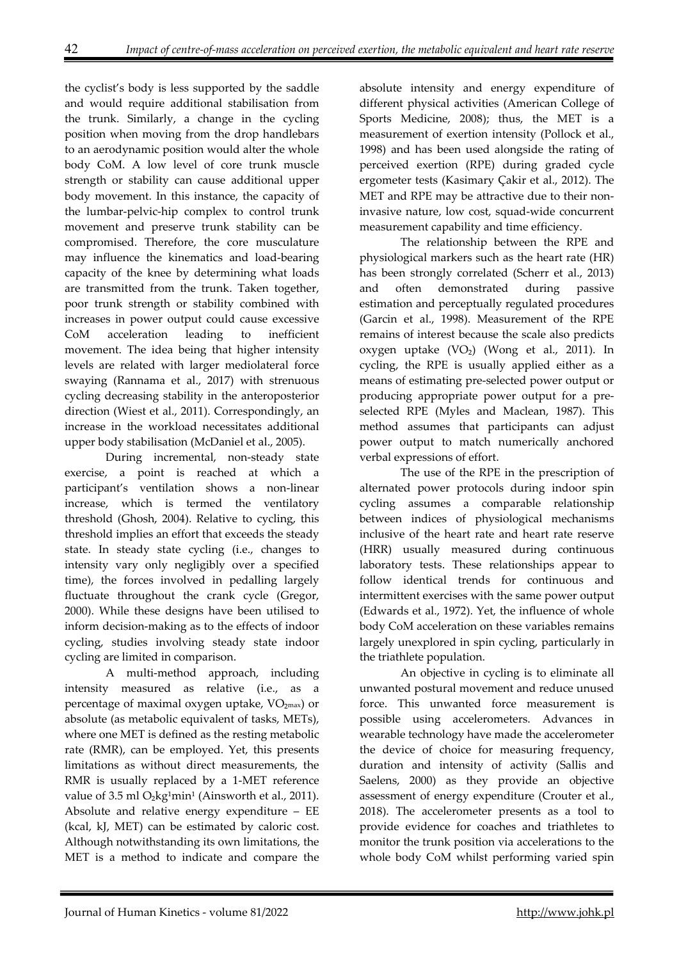the cyclist's body is less supported by the saddle and would require additional stabilisation from the trunk. Similarly, a change in the cycling position when moving from the drop handlebars to an aerodynamic position would alter the whole body CoM. A low level of core trunk muscle strength or stability can cause additional upper body movement. In this instance, the capacity of the lumbar-pelvic-hip complex to control trunk movement and preserve trunk stability can be compromised. Therefore, the core musculature may influence the kinematics and load-bearing capacity of the knee by determining what loads are transmitted from the trunk. Taken together, poor trunk strength or stability combined with increases in power output could cause excessive CoM acceleration leading to inefficient movement. The idea being that higher intensity levels are related with larger mediolateral force swaying (Rannama et al., 2017) with strenuous cycling decreasing stability in the anteroposterior direction (Wiest et al., 2011). Correspondingly, an increase in the workload necessitates additional upper body stabilisation (McDaniel et al., 2005).

During incremental, non-steady state exercise, a point is reached at which a participant's ventilation shows a non-linear increase, which is termed the ventilatory threshold (Ghosh, 2004). Relative to cycling, this threshold implies an effort that exceeds the steady state. In steady state cycling (i.e., changes to intensity vary only negligibly over a specified time), the forces involved in pedalling largely fluctuate throughout the crank cycle (Gregor, 2000). While these designs have been utilised to inform decision-making as to the effects of indoor cycling, studies involving steady state indoor cycling are limited in comparison.

A multi-method approach, including intensity measured as relative (i.e., as a percentage of maximal oxygen uptake,  $VO<sub>2max</sub>$ ) or absolute (as metabolic equivalent of tasks, METs), where one MET is defined as the resting metabolic rate (RMR), can be employed. Yet, this presents limitations as without direct measurements, the RMR is usually replaced by a 1-MET reference value of  $3.5$  ml  $O<sub>2</sub>$ kg<sup>1</sup>min<sup>1</sup> (Ainsworth et al., 2011). Absolute and relative energy expenditure – EE (kcal, kJ, MET) can be estimated by caloric cost. Although notwithstanding its own limitations, the MET is a method to indicate and compare the

absolute intensity and energy expenditure of different physical activities (American College of Sports Medicine, 2008); thus, the MET is a measurement of exertion intensity (Pollock et al., 1998) and has been used alongside the rating of perceived exertion (RPE) during graded cycle ergometer tests (Kasimary Çakir et al., 2012). The MET and RPE may be attractive due to their noninvasive nature, low cost, squad-wide concurrent measurement capability and time efficiency.

The relationship between the RPE and physiological markers such as the heart rate (HR) has been strongly correlated (Scherr et al., 2013) and often demonstrated during passive estimation and perceptually regulated procedures (Garcin et al., 1998). Measurement of the RPE remains of interest because the scale also predicts oxygen uptake (VO₂) (Wong et al., 2011). In cycling, the RPE is usually applied either as a means of estimating pre-selected power output or producing appropriate power output for a preselected RPE (Myles and Maclean, 1987). This method assumes that participants can adjust power output to match numerically anchored verbal expressions of effort.

The use of the RPE in the prescription of alternated power protocols during indoor spin cycling assumes a comparable relationship between indices of physiological mechanisms inclusive of the heart rate and heart rate reserve (HRR) usually measured during continuous laboratory tests. These relationships appear to follow identical trends for continuous and intermittent exercises with the same power output (Edwards et al., 1972). Yet, the influence of whole body CoM acceleration on these variables remains largely unexplored in spin cycling, particularly in the triathlete population.

An objective in cycling is to eliminate all unwanted postural movement and reduce unused force. This unwanted force measurement is possible using accelerometers. Advances in wearable technology have made the accelerometer the device of choice for measuring frequency, duration and intensity of activity (Sallis and Saelens, 2000) as they provide an objective assessment of energy expenditure (Crouter et al., 2018). The accelerometer presents as a tool to provide evidence for coaches and triathletes to monitor the trunk position via accelerations to the whole body CoM whilst performing varied spin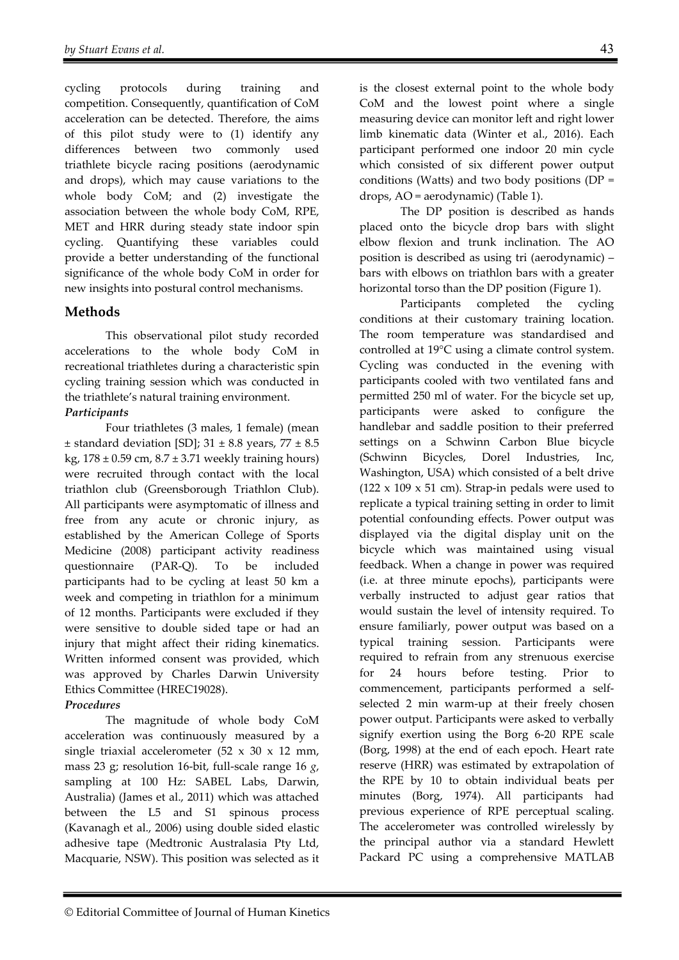cycling protocols during training and competition. Consequently, quantification of CoM acceleration can be detected. Therefore, the aims of this pilot study were to (1) identify any differences between two commonly used triathlete bicycle racing positions (aerodynamic and drops), which may cause variations to the whole body CoM; and (2) investigate the association between the whole body CoM, RPE, MET and HRR during steady state indoor spin cycling. Quantifying these variables could provide a better understanding of the functional significance of the whole body CoM in order for new insights into postural control mechanisms.

# **Methods**

This observational pilot study recorded accelerations to the whole body CoM in recreational triathletes during a characteristic spin cycling training session which was conducted in the triathlete's natural training environment. *Participants* 

# Four triathletes (3 males, 1 female) (mean  $\pm$  standard deviation [SD]; 31  $\pm$  8.8 years, 77  $\pm$  8.5 kg,  $178 \pm 0.59$  cm,  $8.7 \pm 3.71$  weekly training hours) were recruited through contact with the local triathlon club (Greensborough Triathlon Club). All participants were asymptomatic of illness and free from any acute or chronic injury, as established by the American College of Sports Medicine (2008) participant activity readiness questionnaire (PAR-Q). To be included participants had to be cycling at least 50 km a week and competing in triathlon for a minimum of 12 months. Participants were excluded if they were sensitive to double sided tape or had an

injury that might affect their riding kinematics. Written informed consent was provided, which was approved by Charles Darwin University Ethics Committee (HREC19028).

## *Procedures*

The magnitude of whole body CoM acceleration was continuously measured by a single triaxial accelerometer  $(52 \times 30 \times 12 \text{ mm})$ mass 23 g; resolution 16-bit, full-scale range 16 *g*, sampling at 100 Hz: SABEL Labs, Darwin, Australia) (James et al., 2011) which was attached between the L5 and S1 spinous process (Kavanagh et al., 2006) using double sided elastic adhesive tape (Medtronic Australasia Pty Ltd, Macquarie, NSW). This position was selected as it is the closest external point to the whole body CoM and the lowest point where a single measuring device can monitor left and right lower limb kinematic data (Winter et al., 2016). Each participant performed one indoor 20 min cycle which consisted of six different power output conditions (Watts) and two body positions (DP = drops, AO = aerodynamic) (Table 1).

The DP position is described as hands placed onto the bicycle drop bars with slight elbow flexion and trunk inclination. The AO position is described as using tri (aerodynamic) – bars with elbows on triathlon bars with a greater horizontal torso than the DP position (Figure 1).

Participants completed the cycling conditions at their customary training location. The room temperature was standardised and controlled at 19°C using a climate control system. Cycling was conducted in the evening with participants cooled with two ventilated fans and permitted 250 ml of water. For the bicycle set up, participants were asked to configure the handlebar and saddle position to their preferred settings on a Schwinn Carbon Blue bicycle (Schwinn Bicycles, Dorel Industries, Inc, Washington, USA) which consisted of a belt drive (122  $\times$  109  $\times$  51 cm). Strap-in pedals were used to replicate a typical training setting in order to limit potential confounding effects. Power output was displayed via the digital display unit on the bicycle which was maintained using visual feedback. When a change in power was required (i.e. at three minute epochs), participants were verbally instructed to adjust gear ratios that would sustain the level of intensity required. To ensure familiarly, power output was based on a typical training session. Participants were required to refrain from any strenuous exercise for 24 hours before testing. Prior to commencement, participants performed a selfselected 2 min warm-up at their freely chosen power output. Participants were asked to verbally signify exertion using the Borg 6-20 RPE scale (Borg, 1998) at the end of each epoch. Heart rate reserve (HRR) was estimated by extrapolation of the RPE by 10 to obtain individual beats per minutes (Borg, 1974). All participants had previous experience of RPE perceptual scaling. The accelerometer was controlled wirelessly by the principal author via a standard Hewlett Packard PC using a comprehensive MATLAB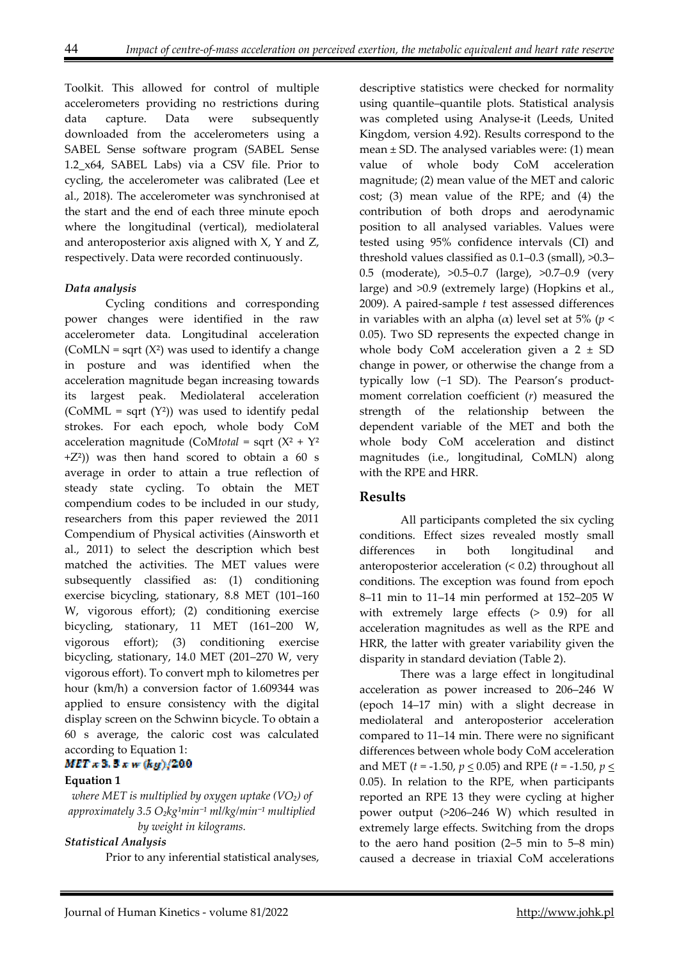Toolkit. This allowed for control of multiple accelerometers providing no restrictions during data capture. Data were subsequently downloaded from the accelerometers using a SABEL Sense software program (SABEL Sense 1.2\_x64, SABEL Labs) via a CSV file. Prior to cycling, the accelerometer was calibrated (Lee et al., 2018). The accelerometer was synchronised at the start and the end of each three minute epoch where the longitudinal (vertical), mediolateral and anteroposterior axis aligned with X, Y and Z, respectively. Data were recorded continuously.

### *Data analysis*

Cycling conditions and corresponding power changes were identified in the raw accelerometer data. Longitudinal acceleration (CoMLN = sqrt  $(X^2)$  was used to identify a change in posture and was identified when the acceleration magnitude began increasing towards its largest peak. Mediolateral acceleration (CoMML = sqrt  $(Y^2)$ ) was used to identify pedal strokes. For each epoch, whole body CoM acceleration magnitude (CoM*total* = sqrt (X² + Y²  $+Z<sup>2</sup>$ )) was then hand scored to obtain a 60 s average in order to attain a true reflection of steady state cycling. To obtain the MET compendium codes to be included in our study, researchers from this paper reviewed the 2011 Compendium of Physical activities (Ainsworth et al., 2011) to select the description which best matched the activities. The MET values were subsequently classified as: (1) conditioning exercise bicycling, stationary, 8.8 MET (101–160 W, vigorous effort); (2) conditioning exercise bicycling, stationary, 11 MET (161–200 W, vigorous effort); (3) conditioning exercise bicycling, stationary, 14.0 MET (201–270 W, very vigorous effort). To convert mph to kilometres per hour (km/h) a conversion factor of 1.609344 was applied to ensure consistency with the digital display screen on the Schwinn bicycle. To obtain a 60 s average, the caloric cost was calculated according to Equation 1:

## $MET = 3.5 + w (ky)/200$

#### **Equation 1**

*where MET is multiplied by oxygen uptake (VO₂) of approximately* 3.5 O<sub>2</sub>*kg*<sup>1</sup>min<sup>-1</sup> ml/kg/min<sup>-1</sup> multiplied *by weight in kilograms.*

#### *Statistical Analysis*

Prior to any inferential statistical analyses,

descriptive statistics were checked for normality using quantile–quantile plots. Statistical analysis was completed using Analyse-it (Leeds, United Kingdom, version 4.92). Results correspond to the mean  $\pm$  SD. The analysed variables were: (1) mean value of whole body CoM acceleration magnitude; (2) mean value of the MET and caloric cost; (3) mean value of the RPE; and (4) the contribution of both drops and aerodynamic position to all analysed variables. Values were tested using 95% confidence intervals (CI) and threshold values classified as 0.1–0.3 (small), >0.3– 0.5 (moderate), >0.5–0.7 (large), >0.7–0.9 (very large) and >0.9 (extremely large) (Hopkins et al., 2009). A paired-sample *t* test assessed differences in variables with an alpha (α) level set at 5% (*p* < 0.05). Two SD represents the expected change in whole body CoM acceleration given a  $2 \pm SD$ change in power, or otherwise the change from a typically low (−1 SD). The Pearson's productmoment correlation coefficient (*r*) measured the strength of the relationship between the dependent variable of the MET and both the whole body CoM acceleration and distinct magnitudes (i.e., longitudinal, CoMLN) along with the RPE and HRR.

## **Results**

All participants completed the six cycling conditions. Effect sizes revealed mostly small differences in both longitudinal and anteroposterior acceleration (< 0.2) throughout all conditions. The exception was found from epoch 8–11 min to 11–14 min performed at 152–205 W with extremely large effects (> 0.9) for all acceleration magnitudes as well as the RPE and HRR, the latter with greater variability given the disparity in standard deviation (Table 2).

There was a large effect in longitudinal acceleration as power increased to 206–246 W (epoch 14–17 min) with a slight decrease in mediolateral and anteroposterior acceleration compared to 11–14 min. There were no significant differences between whole body CoM acceleration and MET (*t* = -1.50, *p* < 0.05) and RPE (*t* = -1.50, *p* < 0.05). In relation to the RPE, when participants reported an RPE 13 they were cycling at higher power output (>206–246 W) which resulted in extremely large effects. Switching from the drops to the aero hand position (2–5 min to 5–8 min) caused a decrease in triaxial CoM accelerations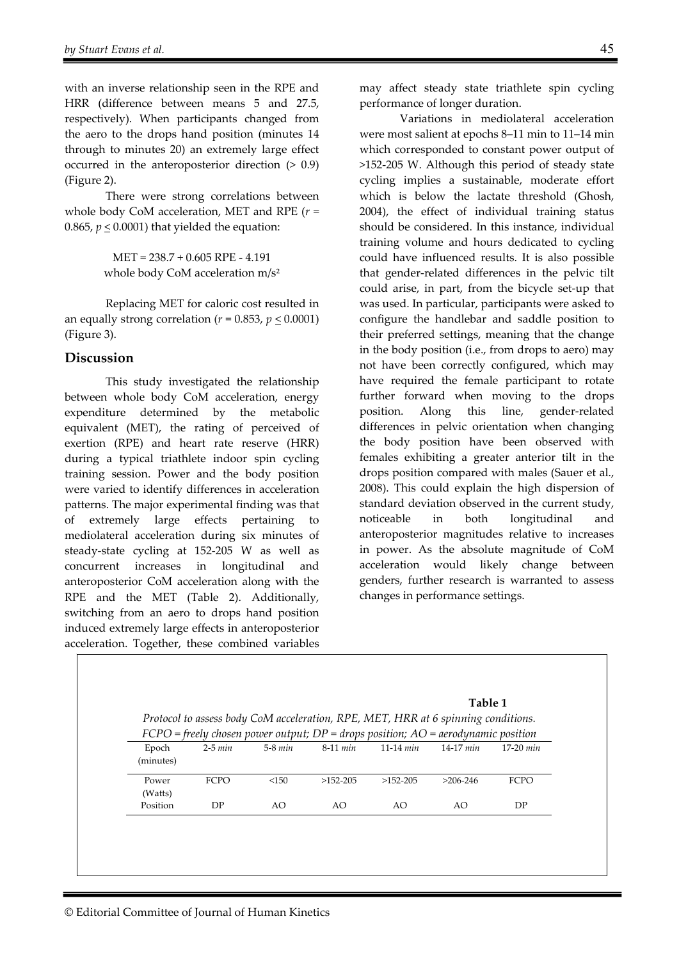with an inverse relationship seen in the RPE and HRR (difference between means 5 and 27.5, respectively). When participants changed from the aero to the drops hand position (minutes 14 through to minutes 20) an extremely large effect occurred in the anteroposterior direction (> 0.9) (Figure 2).

There were strong correlations between whole body CoM acceleration, MET and RPE (*r* = 0.865,  $p \leq 0.0001$ ) that yielded the equation:

> MET = 238.7 + 0.605 RPE - 4.191 whole body CoM acceleration m/s<sup>2</sup>

Replacing MET for caloric cost resulted in an equally strong correlation ( $r = 0.853$ ,  $p \le 0.0001$ ) (Figure 3).

#### **Discussion**

This study investigated the relationship between whole body CoM acceleration, energy expenditure determined by the metabolic equivalent (MET), the rating of perceived of exertion (RPE) and heart rate reserve (HRR) during a typical triathlete indoor spin cycling training session. Power and the body position were varied to identify differences in acceleration patterns. The major experimental finding was that of extremely large effects pertaining mediolateral acceleration during six minutes of steady-state cycling at 152-205 W as well as concurrent increases in longitudinal and anteroposterior CoM acceleration along with the RPE and the MET (Table 2). Additionally, switching from an aero to drops hand position induced extremely large effects in anteroposterior acceleration. Together, these combined variables

may affect steady state triathlete spin cycling performance of longer duration.

 Variations in mediolateral acceleration were most salient at epochs 8–11 min to 11–14 min which corresponded to constant power output of >152-205 W. Although this period of steady state cycling implies a sustainable, moderate effort which is below the lactate threshold (Ghosh, 2004), the effect of individual training status should be considered. In this instance, individual training volume and hours dedicated to cycling could have influenced results. It is also possible that gender-related differences in the pelvic tilt could arise, in part, from the bicycle set-up that was used. In particular, participants were asked to configure the handlebar and saddle position to their preferred settings, meaning that the change in the body position (i.e., from drops to aero) may not have been correctly configured, which may have required the female participant to rotate further forward when moving to the drops position. Along this line, gender-related differences in pelvic orientation when changing the body position have been observed with females exhibiting a greater anterior tilt in the drops position compared with males (Sauer et al., 2008). This could explain the high dispersion of standard deviation observed in the current study, noticeable in both longitudinal and anteroposterior magnitudes relative to increases in power. As the absolute magnitude of CoM acceleration would likely change between genders, further research is warranted to assess changes in performance settings.

| Table 1<br>Protocol to assess body CoM acceleration, RPE, MET, HRR at 6 spinning conditions. |             |           |                                                                                     |             |             |             |  |
|----------------------------------------------------------------------------------------------|-------------|-----------|-------------------------------------------------------------------------------------|-------------|-------------|-------------|--|
|                                                                                              |             |           | $FCPO = freely chosen power output; DP = drops position; AO = aerodynamic position$ |             |             |             |  |
| Epoch<br>(minutes)                                                                           | $2-5 min$   | $5-8$ min | $8-11$ min                                                                          | $11-14$ min | $14-17$ min | $17-20$ min |  |
| Power<br>(Watts)                                                                             | <b>FCPO</b> | <150      | $>152-205$                                                                          | $>152-205$  | $>206-246$  | <b>FCPO</b> |  |
| Position                                                                                     | DP          | AO        | AO.                                                                                 | AO          | AO          | DP          |  |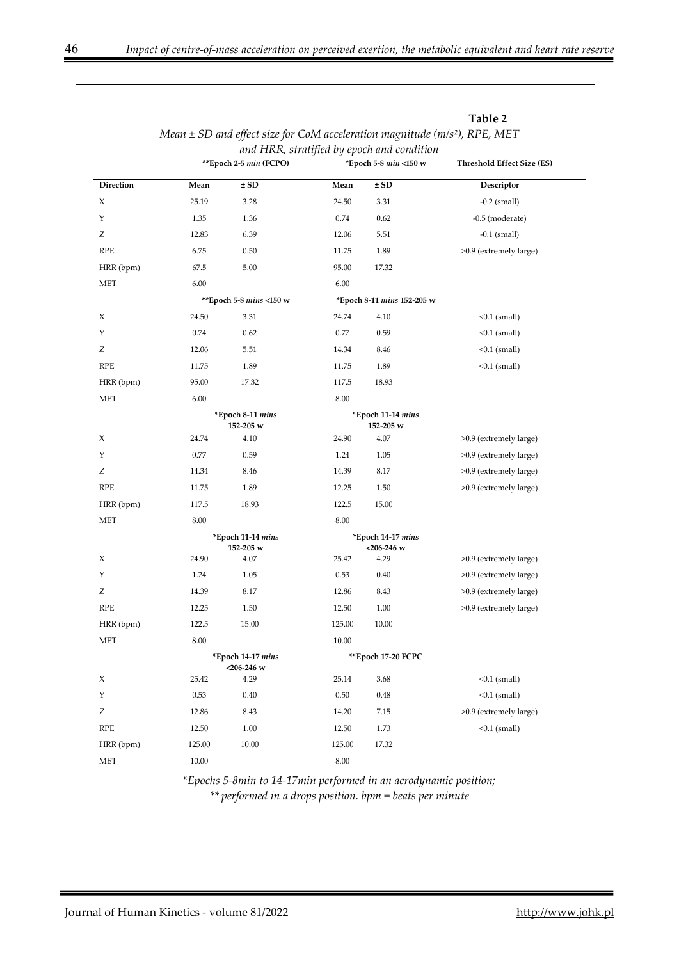|            |           | Mean $\pm$ SD and effect size for CoM acceleration magnitude (m/s <sup>2</sup> ), RPE, MET |          |                                            | Table 2                           |  |
|------------|-----------|--------------------------------------------------------------------------------------------|----------|--------------------------------------------|-----------------------------------|--|
|            |           |                                                                                            |          | and HRR, stratified by epoch and condition |                                   |  |
|            |           | **Epoch 2-5 min (FCPO)                                                                     |          | *Epoch 5-8 min <150 w                      | <b>Threshold Effect Size (ES)</b> |  |
| Direction  | Mean      | ± SD                                                                                       | Mean     | ± SD                                       | Descriptor                        |  |
| X          | 25.19     | 3.28                                                                                       | 24.50    | 3.31                                       | $-0.2$ (small)                    |  |
| Υ          | 1.35      | 1.36                                                                                       | 0.74     | 0.62                                       | -0.5 (moderate)                   |  |
| Ζ          | 12.83     | 6.39                                                                                       | 12.06    | 5.51                                       | $-0.1$ (small)                    |  |
| <b>RPE</b> | 6.75      | 0.50                                                                                       | 11.75    | 1.89                                       | >0.9 (extremely large)            |  |
| HRR (bpm)  | 67.5      | 5.00                                                                                       | 95.00    | 17.32                                      |                                   |  |
| MET        | 6.00      |                                                                                            | 6.00     |                                            |                                   |  |
|            |           | ** Epoch 5-8 mins <150 w                                                                   |          | *Epoch 8-11 mins 152-205 w                 |                                   |  |
| X          | 24.50     | 3.31                                                                                       | 24.74    | 4.10                                       | $0.1$ (small)                     |  |
| Υ          | 0.74      | 0.62                                                                                       | 0.77     | 0.59                                       | $0.1$ (small)                     |  |
| Ζ          | 12.06     | 5.51                                                                                       | 14.34    | 8.46                                       | $0.1$ (small)                     |  |
| <b>RPE</b> | 11.75     | 1.89                                                                                       | 11.75    | 1.89                                       | $0.1$ (small)                     |  |
| HRR (bpm)  | 95.00     | 17.32                                                                                      | 117.5    | 18.93                                      |                                   |  |
| MET        | 6.00      |                                                                                            | 8.00     |                                            |                                   |  |
|            |           | *Epoch 8-11 mins<br>152-205 w                                                              |          | *Epoch 11-14 mins<br>152-205 w             |                                   |  |
| X          | 24.74     | 4.10                                                                                       | 24.90    | 4.07                                       | >0.9 (extremely large)            |  |
| Υ          | 0.77      | 0.59                                                                                       | 1.24     | 1.05                                       | >0.9 (extremely large)            |  |
| Ζ          | 14.34     | 8.46                                                                                       | 14.39    | 8.17                                       | >0.9 (extremely large)            |  |
| <b>RPE</b> | 11.75     | 1.89                                                                                       | 12.25    | 1.50                                       | >0.9 (extremely large)            |  |
| HRR (bpm)  | 117.5     | 18.93                                                                                      | 122.5    | 15.00                                      |                                   |  |
| MET        | 8.00      |                                                                                            | 8.00     |                                            |                                   |  |
|            |           | *Epoch 11-14 mins<br>152-205 w                                                             |          | *Epoch 14-17 mins<br><206-246 w            |                                   |  |
| X          | 24.90     | 4.07                                                                                       | 25.42    | 4.29                                       | >0.9 (extremely large)            |  |
| Υ          | 1.24      | 1.05                                                                                       | 0.53     | 0.40                                       | >0.9 (extremely large)            |  |
| Ζ          | 14.39     | 8.17                                                                                       | 12.86    | 8.43                                       | >0.9 (extremely large)            |  |
| RPE        | 12.25     | 1.50                                                                                       | 12.50    | 1.00                                       | >0.9 (extremely large)            |  |
| HRR (bpm)  | 122.5     | 15.00                                                                                      | 125.00   | 10.00                                      |                                   |  |
| MET        | 8.00      |                                                                                            | 10.00    |                                            |                                   |  |
|            |           | *Epoch 14-17 mins<br>$<$ 206-246 w                                                         |          | **Epoch 17-20 FCPC                         |                                   |  |
| X          | 25.42     | 4.29                                                                                       | 25.14    | 3.68                                       | $<0.1$ (small)                    |  |
| Υ          | 0.53      | 0.40                                                                                       | 0.50     | 0.48                                       | $<0.1$ (small)                    |  |
| Ζ          | 12.86     | 8.43                                                                                       | 14.20    | 7.15                                       | >0.9 (extremely large)            |  |
| <b>RPE</b> | 12.50     | $1.00\,$                                                                                   | 12.50    | 1.73                                       | $<0.1$ (small)                    |  |
| HRR (bpm)  | 125.00    | 10.00                                                                                      | 125.00   | 17.32                                      |                                   |  |
| MET        | $10.00\,$ |                                                                                            | $8.00\,$ |                                            |                                   |  |

*\*\* performed in a drops position. bpm = beats per minute*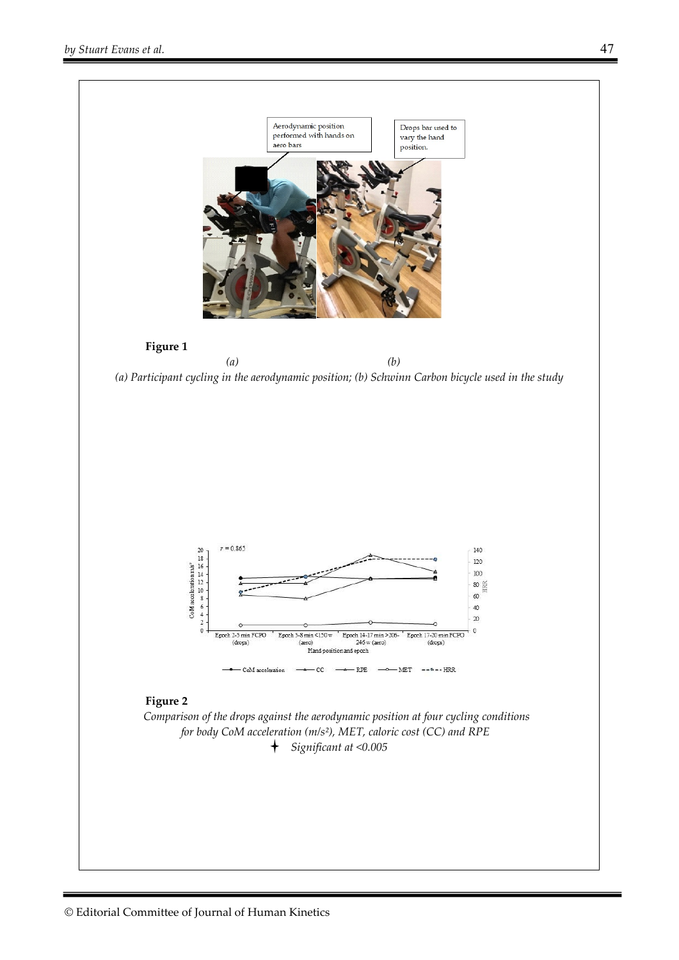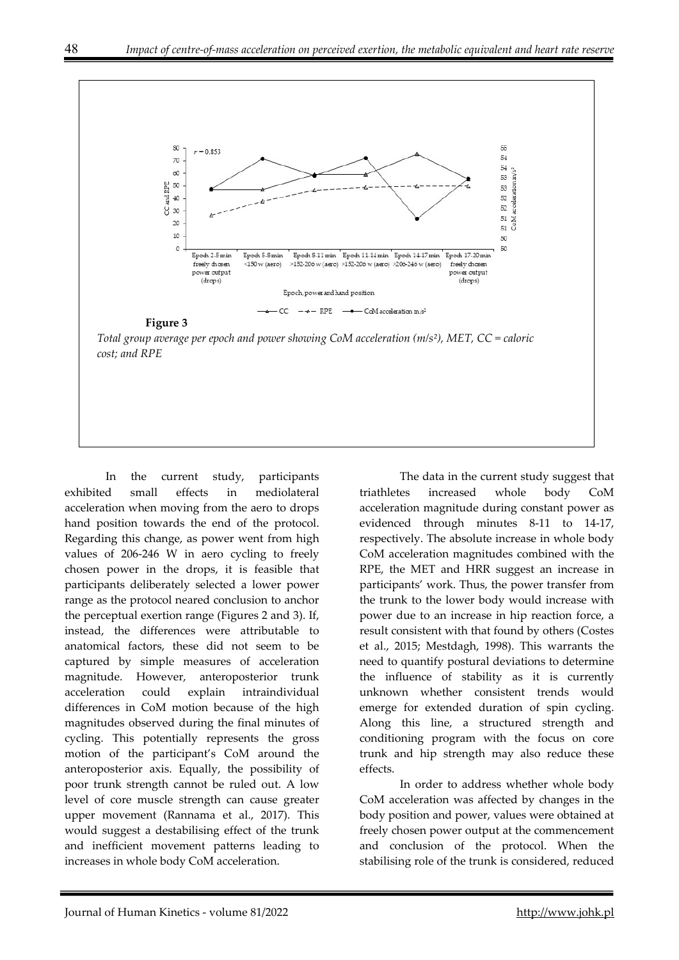

In the current study, participants exhibited small effects in mediolateral acceleration when moving from the aero to drops hand position towards the end of the protocol. Regarding this change, as power went from high values of 206-246 W in aero cycling to freely chosen power in the drops, it is feasible that participants deliberately selected a lower power range as the protocol neared conclusion to anchor the perceptual exertion range (Figures 2 and 3). If, instead, the differences were attributable to anatomical factors, these did not seem to be captured by simple measures of acceleration magnitude. However, anteroposterior trunk acceleration could explain intraindividual differences in CoM motion because of the high magnitudes observed during the final minutes of cycling. This potentially represents the gross motion of the participant's CoM around the anteroposterior axis. Equally, the possibility of poor trunk strength cannot be ruled out. A low level of core muscle strength can cause greater upper movement (Rannama et al., 2017). This would suggest a destabilising effect of the trunk and inefficient movement patterns leading to increases in whole body CoM acceleration.

The data in the current study suggest that triathletes increased whole body CoM acceleration magnitude during constant power as evidenced through minutes 8-11 to 14-17, respectively. The absolute increase in whole body CoM acceleration magnitudes combined with the RPE, the MET and HRR suggest an increase in participants' work. Thus, the power transfer from the trunk to the lower body would increase with power due to an increase in hip reaction force, a result consistent with that found by others (Costes et al., 2015; Mestdagh, 1998). This warrants the need to quantify postural deviations to determine the influence of stability as it is currently unknown whether consistent trends would emerge for extended duration of spin cycling. Along this line, a structured strength and conditioning program with the focus on core trunk and hip strength may also reduce these effects.

In order to address whether whole body CoM acceleration was affected by changes in the body position and power, values were obtained at freely chosen power output at the commencement and conclusion of the protocol. When the stabilising role of the trunk is considered, reduced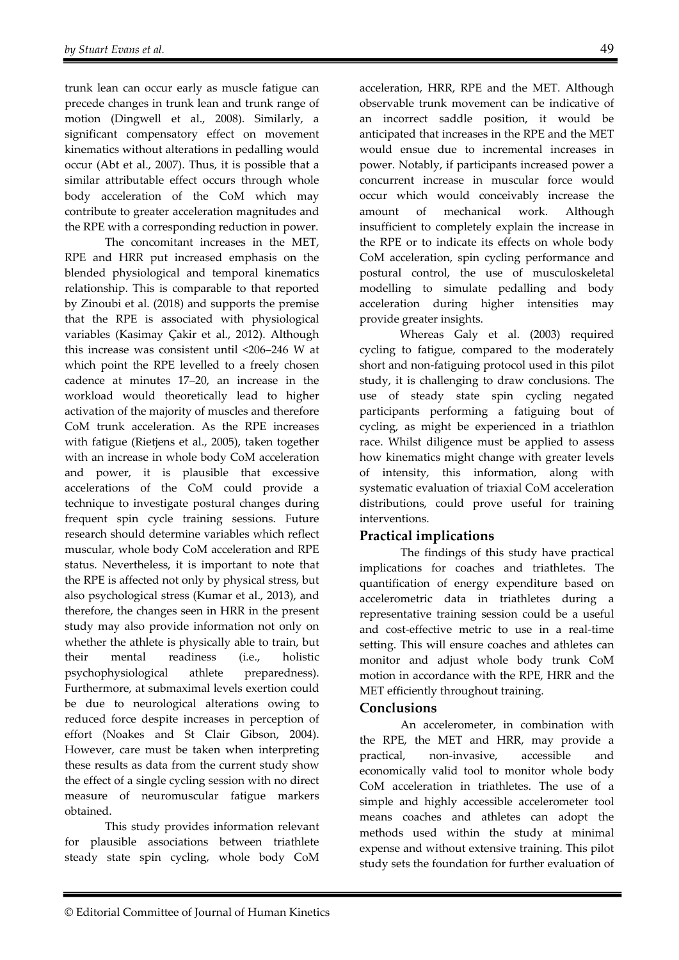trunk lean can occur early as muscle fatigue can precede changes in trunk lean and trunk range of motion (Dingwell et al., 2008). Similarly, a significant compensatory effect on movement kinematics without alterations in pedalling would occur (Abt et al., 2007). Thus, it is possible that a similar attributable effect occurs through whole body acceleration of the CoM which may contribute to greater acceleration magnitudes and the RPE with a corresponding reduction in power.

The concomitant increases in the MET, RPE and HRR put increased emphasis on the blended physiological and temporal kinematics relationship. This is comparable to that reported by Zinoubi et al. (2018) and supports the premise that the RPE is associated with physiological variables (Kasimay Çakir et al., 2012). Although this increase was consistent until <206–246 W at which point the RPE levelled to a freely chosen cadence at minutes 17–20, an increase in the workload would theoretically lead to higher activation of the majority of muscles and therefore CoM trunk acceleration. As the RPE increases with fatigue (Rietjens et al., 2005), taken together with an increase in whole body CoM acceleration and power, it is plausible that excessive accelerations of the CoM could provide a technique to investigate postural changes during frequent spin cycle training sessions. Future research should determine variables which reflect muscular, whole body CoM acceleration and RPE status. Nevertheless, it is important to note that the RPE is affected not only by physical stress, but also psychological stress (Kumar et al., 2013), and therefore, the changes seen in HRR in the present study may also provide information not only on whether the athlete is physically able to train, but their mental readiness (i.e., holistic psychophysiological athlete preparedness). Furthermore, at submaximal levels exertion could be due to neurological alterations owing to reduced force despite increases in perception of effort (Noakes and St Clair Gibson, 2004). However, care must be taken when interpreting these results as data from the current study show the effect of a single cycling session with no direct measure of neuromuscular fatigue markers obtained.

This study provides information relevant for plausible associations between triathlete steady state spin cycling, whole body CoM

acceleration, HRR, RPE and the MET. Although observable trunk movement can be indicative of an incorrect saddle position, it would be anticipated that increases in the RPE and the MET would ensue due to incremental increases in power. Notably, if participants increased power a concurrent increase in muscular force would occur which would conceivably increase the amount of mechanical work. Although insufficient to completely explain the increase in the RPE or to indicate its effects on whole body CoM acceleration, spin cycling performance and postural control, the use of musculoskeletal modelling to simulate pedalling and body acceleration during higher intensities may provide greater insights.

Whereas Galy et al. (2003) required cycling to fatigue, compared to the moderately short and non-fatiguing protocol used in this pilot study, it is challenging to draw conclusions. The use of steady state spin cycling negated participants performing a fatiguing bout of cycling, as might be experienced in a triathlon race. Whilst diligence must be applied to assess how kinematics might change with greater levels of intensity, this information, along with systematic evaluation of triaxial CoM acceleration distributions, could prove useful for training interventions.

## **Practical implications**

The findings of this study have practical implications for coaches and triathletes. The quantification of energy expenditure based on accelerometric data in triathletes during a representative training session could be a useful and cost-effective metric to use in a real-time setting. This will ensure coaches and athletes can monitor and adjust whole body trunk CoM motion in accordance with the RPE, HRR and the MET efficiently throughout training.

# **Conclusions**

An accelerometer, in combination with the RPE, the MET and HRR, may provide a practical, non-invasive, accessible and economically valid tool to monitor whole body CoM acceleration in triathletes. The use of a simple and highly accessible accelerometer tool means coaches and athletes can adopt the methods used within the study at minimal expense and without extensive training. This pilot study sets the foundation for further evaluation of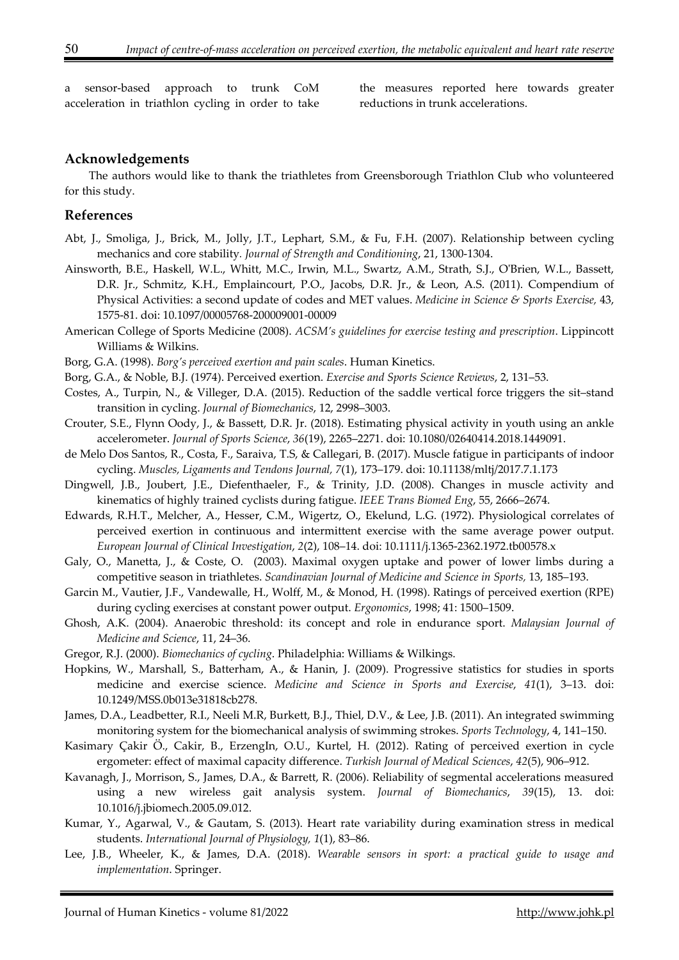a sensor-based approach to trunk CoM acceleration in triathlon cycling in order to take

the measures reported here towards greater reductions in trunk accelerations.

#### **Acknowledgements**

The authors would like to thank the triathletes from Greensborough Triathlon Club who volunteered for this study.

#### **References**

- Abt, J., Smoliga, J., Brick, M., Jolly, J.T., Lephart, S.M., & Fu, F.H. (2007). Relationship between cycling mechanics and core stability*. Journal of Strength and Conditioning*, 21, 1300-1304.
- Ainsworth, B.E., Haskell, W.L., Whitt, M.C., Irwin, M.L., Swartz, A.M., Strath, S.J., O'Brien, W.L., Bassett, D.R. Jr., Schmitz, K.H., Emplaincourt, P.O., Jacobs, D.R. Jr., & Leon, A.S. (2011). Compendium of Physical Activities: a second update of codes and MET values. *Medicine in Science & Sports Exercise,* 43, 1575-81. doi: 10.1097/00005768-200009001-00009
- American College of Sports Medicine (2008). *ACSM's guidelines for exercise testing and prescription*. Lippincott Williams & Wilkins.
- Borg, G.A. (1998). *Borg's perceived exertion and pain scales*. Human Kinetics.
- Borg, G.A., & Noble, B.J. (1974). Perceived exertion. *Exercise and Sports Science Reviews*, 2, 131–53.
- Costes, A., Turpin, N., & Villeger, D.A. (2015). Reduction of the saddle vertical force triggers the sit–stand transition in cycling. *Journal of Biomechanics*, 12, 2998–3003.
- Crouter, S.E., Flynn Oody, J., & Bassett, D.R. Jr. (2018). Estimating physical activity in youth using an ankle accelerometer. *Journal of Sports Science*, *36*(19), 2265–2271. doi: 10.1080/02640414.2018.1449091.
- de Melo Dos Santos, R., Costa, F., Saraiva, T.S, & Callegari, B. (2017). Muscle fatigue in participants of indoor cycling. *Muscles, Ligaments and Tendons Journal, 7*(1), 173–179. doi: 10.11138/mltj/2017.7.1.173
- Dingwell, J.B., Joubert, J.E., Diefenthaeler, F., & Trinity, J.D. (2008). Changes in muscle activity and kinematics of highly trained cyclists during fatigue. *IEEE Trans Biomed Eng*, 55, 2666–2674.
- Edwards, R.H.T., Melcher, A., Hesser, C.M., Wigertz, O., Ekelund, L.G. (1972). Physiological correlates of perceived exertion in continuous and intermittent exercise with the same average power output. *European Journal of Clinical Investigation*, *2*(2), 108–14. doi: 10.1111/j.1365-2362.1972.tb00578.x
- Galy, O., Manetta, J., & Coste, O. (2003). Maximal oxygen uptake and power of lower limbs during a competitive season in triathletes. *Scandinavian Journal of Medicine and Science in Sports,* 13, 185–193.
- Garcin M., Vautier, J.F., Vandewalle, H., Wolff, M., & Monod, H. (1998). Ratings of perceived exertion (RPE) during cycling exercises at constant power output. *Ergonomics*, 1998; 41: 1500–1509.
- Ghosh, A.K. (2004). Anaerobic threshold: its concept and role in endurance sport. *Malaysian Journal of Medicine and Science*, 11, 24–36.
- Gregor, R.J. (2000). *Biomechanics of cycling*. Philadelphia: Williams & Wilkings.
- Hopkins, W., Marshall, S., Batterham, A., & Hanin, J. (2009). Progressive statistics for studies in sports medicine and exercise science. *Medicine and Science in Sports and Exercise*, *41*(1), 3–13. doi: 10.1249/MSS.0b013e31818cb278.
- James, D.A., Leadbetter, R.I., Neeli M.R, Burkett, B.J., Thiel, D.V., & Lee, J.B. (2011). An integrated swimming monitoring system for the biomechanical analysis of swimming strokes. *Sports Technology*, 4, 141–150.
- Kasimary Çakir Ö., Cakir, B., ErzengIn, O.U., Kurtel, H. (2012). Rating of perceived exertion in cycle ergometer: effect of maximal capacity difference. *Turkish Journal of Medical Sciences*, *42*(5), 906–912.
- Kavanagh, J., Morrison, S., James, D.A., & Barrett, R. (2006). Reliability of segmental accelerations measured using a new wireless gait analysis system. *Journal of Biomechanics*, *39*(15), 13. doi: 10.1016/j.jbiomech.2005.09.012.
- Kumar, Y., Agarwal, V., & Gautam, S. (2013). Heart rate variability during examination stress in medical students. *International Journal of Physiology, 1*(1), 83–86.
- Lee, J.B., Wheeler, K., & James, D.A. (2018). *Wearable sensors in sport: a practical guide to usage and implementation*. Springer.